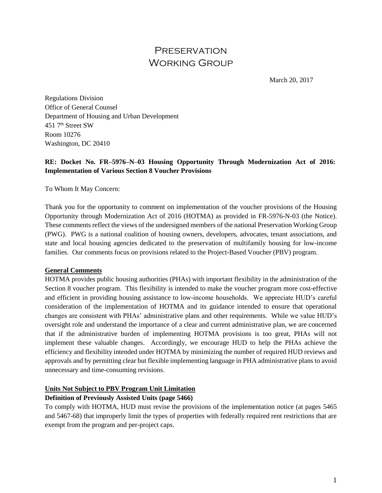# **PRESERVATION** Working Group

March 20, 2017

Regulations Division Office of General Counsel Department of Housing and Urban Development 451 7th Street SW Room 10276 Washington, DC 20410

# **RE: Docket No. FR–5976–N–03 Housing Opportunity Through Modernization Act of 2016: Implementation of Various Section 8 Voucher Provisions**

To Whom It May Concern:

Thank you for the opportunity to comment on implementation of the voucher provisions of the Housing Opportunity through Modernization Act of 2016 (HOTMA) as provided in FR-5976-N-03 (the Notice). These comments reflect the views of the undersigned members of the national Preservation Working Group (PWG). PWG is a national coalition of housing owners, developers, advocates, tenant associations, and state and local housing agencies dedicated to the preservation of multifamily housing for low-income families. Our comments focus on provisions related to the Project-Based Voucher (PBV) program.

### **General Comments**

HOTMA provides public housing authorities (PHAs) with important flexibility in the administration of the Section 8 voucher program. This flexibility is intended to make the voucher program more cost-effective and efficient in providing housing assistance to low-income households. We appreciate HUD's careful consideration of the implementation of HOTMA and its guidance intended to ensure that operational changes are consistent with PHAs' administrative plans and other requirements. While we value HUD's oversight role and understand the importance of a clear and current administrative plan, we are concerned that if the administrative burden of implementing HOTMA provisions is too great, PHAs will not implement these valuable changes. Accordingly, we encourage HUD to help the PHAs achieve the efficiency and flexibility intended under HOTMA by minimizing the number of required HUD reviews and approvals and by permitting clear but flexible implementing language in PHA administrative plans to avoid unnecessary and time-consuming revisions.

### **Units Not Subject to PBV Program Unit Limitation**

### **Definition of Previously Assisted Units (page 5466)**

To comply with HOTMA, HUD must revise the provisions of the implementation notice (at pages 5465 and 5467-68) that improperly limit the types of properties with federally required rent restrictions that are exempt from the program and per-project caps.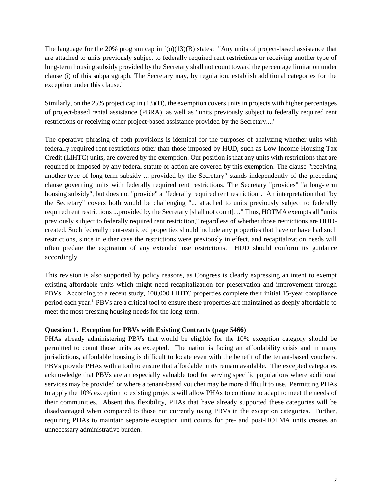The language for the 20% program cap in f(o)(13)(B) states: "Any units of project-based assistance that are attached to units previously subject to federally required rent restrictions or receiving another type of long-term housing subsidy provided by the Secretary shall not count toward the percentage limitation under clause (i) of this subparagraph. The Secretary may, by regulation, establish additional categories for the exception under this clause."

Similarly, on the 25% project cap in (13)(D), the exemption covers units in projects with higher percentages of project-based rental assistance (PBRA), as well as "units previously subject to federally required rent restrictions or receiving other project-based assistance provided by the Secretary...."

The operative phrasing of both provisions is identical for the purposes of analyzing whether units with federally required rent restrictions other than those imposed by HUD, such as Low Income Housing Tax Credit (LIHTC) units, are covered by the exemption. Our position is that any units with restrictions that are required or imposed by any federal statute or action are covered by this exemption. The clause "receiving another type of long-term subsidy ... provided by the Secretary" stands independently of the preceding clause governing units with federally required rent restrictions. The Secretary "provides" "a long-term housing subsidy", but does not "provide" a "federally required rent restriction". An interpretation that "by the Secretary" covers both would be challenging "... attached to units previously subject to federally required rent restrictions ...provided by the Secretary [shall not count]…" Thus, HOTMA exempts all "units previously subject to federally required rent restriction," regardless of whether those restrictions are HUDcreated. Such federally rent-restricted properties should include any properties that have or have had such restrictions, since in either case the restrictions were previously in effect, and recapitalization needs will often predate the expiration of any extended use restrictions. HUD should conform its guidance accordingly.

This revision is also supported by policy reasons, as Congress is clearly expressing an intent to exempt existing affordable units which might need recapitalization for preservation and improvement through PBVs. According to a recent study, 100,000 LIHTC properties complete their initial 15-year compliance period each year.<sup>i</sup> PBVs are a critical tool to ensure these properties are maintained as deeply affordable to meet the most pressing housing needs for the long-term.

### **Question 1. Exception for PBVs with Existing Contracts (page 5466)**

PHAs already administering PBVs that would be eligible for the 10% exception category should be permitted to count those units as excepted. The nation is facing an affordability crisis and in many jurisdictions, affordable housing is difficult to locate even with the benefit of the tenant-based vouchers. PBVs provide PHAs with a tool to ensure that affordable units remain available. The excepted categories acknowledge that PBVs are an especially valuable tool for serving specific populations where additional services may be provided or where a tenant-based voucher may be more difficult to use. Permitting PHAs to apply the 10% exception to existing projects will allow PHAs to continue to adapt to meet the needs of their communities. Absent this flexibility, PHAs that have already supported these categories will be disadvantaged when compared to those not currently using PBVs in the exception categories. Further, requiring PHAs to maintain separate exception unit counts for pre- and post-HOTMA units creates an unnecessary administrative burden.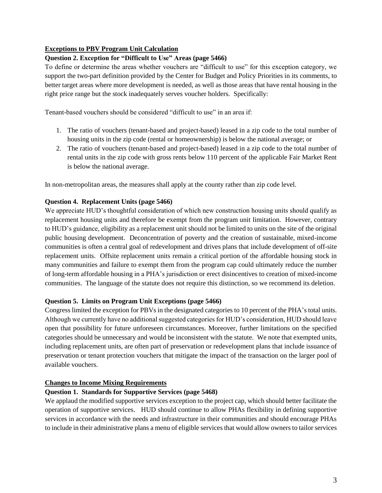# **Exceptions to PBV Program Unit Calculation**

# **Question 2. Exception for "Difficult to Use" Areas (page 5466)**

To define or determine the areas whether vouchers are "difficult to use" for this exception category, we support the two-part definition provided by the Center for Budget and Policy Priorities in its comments, to better target areas where more development is needed, as well as those areas that have rental housing in the right price range but the stock inadequately serves voucher holders. Specifically:

Tenant-based vouchers should be considered "difficult to use" in an area if:

- 1. The ratio of vouchers (tenant-based and project-based) leased in a zip code to the total number of housing units in the zip code (rental or homeownership) is below the national average; or
- 2. The ratio of vouchers (tenant-based and project-based) leased in a zip code to the total number of rental units in the zip code with gross rents below 110 percent of the applicable Fair Market Rent is below the national average.

In non-metropolitan areas, the measures shall apply at the county rather than zip code level.

# **Question 4. Replacement Units (page 5466)**

We appreciate HUD's thoughtful consideration of which new construction housing units should qualify as replacement housing units and therefore be exempt from the program unit limitation. However, contrary to HUD's guidance, eligibility as a replacement unit should not be limited to units on the site of the original public housing development. Deconcentration of poverty and the creation of sustainable, mixed-income communities is often a central goal of redevelopment and drives plans that include development of off-site replacement units. Offsite replacement units remain a critical portion of the affordable housing stock in many communities and failure to exempt them from the program cap could ultimately reduce the number of long-term affordable housing in a PHA's jurisdiction or erect disincentives to creation of mixed-income communities. The language of the statute does not require this distinction, so we recommend its deletion.

## **Question 5. Limits on Program Unit Exceptions (page 5466)**

Congress limited the exception for PBVs in the designated categories to 10 percent of the PHA's total units. Although we currently have no additional suggested categories for HUD's consideration, HUD should leave open that possibility for future unforeseen circumstances. Moreover, further limitations on the specified categories should be unnecessary and would be inconsistent with the statute. We note that exempted units, including replacement units, are often part of preservation or redevelopment plans that include issuance of preservation or tenant protection vouchers that mitigate the impact of the transaction on the larger pool of available vouchers.

## **Changes to Income Mixing Requirements**

# **Question 1. Standards for Supportive Services (page 5468)**

We applaud the modified supportive services exception to the project cap, which should better facilitate the operation of supportive services. HUD should continue to allow PHAs flexibility in defining supportive services in accordance with the needs and infrastructure in their communities and should encourage PHAs to include in their administrative plans a menu of eligible services that would allow owners to tailor services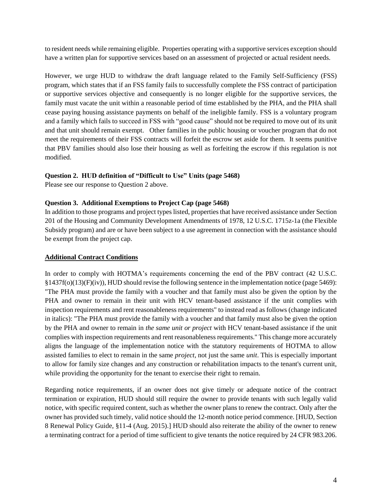to resident needs while remaining eligible. Properties operating with a supportive services exception should have a written plan for supportive services based on an assessment of projected or actual resident needs.

However, we urge HUD to withdraw the draft language related to the Family Self-Sufficiency (FSS) program, which states that if an FSS family fails to successfully complete the FSS contract of participation or supportive services objective and consequently is no longer eligible for the supportive services, the family must vacate the unit within a reasonable period of time established by the PHA, and the PHA shall cease paying housing assistance payments on behalf of the ineligible family. FSS is a voluntary program and a family which fails to succeed in FSS with "good cause" should not be required to move out of its unit and that unit should remain exempt. Other families in the public housing or voucher program that do not meet the requirements of their FSS contracts will forfeit the escrow set aside for them. It seems punitive that PBV families should also lose their housing as well as forfeiting the escrow if this regulation is not modified.

## **Question 2. HUD definition of "Difficult to Use" Units (page 5468)**

Please see our response to Question 2 above.

## **Question 3. Additional Exemptions to Project Cap (page 5468)**

In addition to those programs and project types listed, properties that have received assistance under Section 201 of the Housing and Community Development Amendments of 1978, 12 U.S.C. 1715z-1a (the Flexible Subsidy program) and are or have been subject to a use agreement in connection with the assistance should be exempt from the project cap.

## **Additional Contract Conditions**

In order to comply with HOTMA's requirements concerning the end of the PBV contract (42 U.S.C. §1437f(o)(13)(F)(iv)), HUD should revise the following sentence in the implementation notice (page 5469): "The PHA must provide the family with a voucher and that family must also be given the option by the PHA and owner to remain in their unit with HCV tenant-based assistance if the unit complies with inspection requirements and rent reasonableness requirements" to instead read as follows (change indicated in italics): "The PHA must provide the family with a voucher and that family must also be given the option by the PHA and owner to remain in *the same unit or project* with HCV tenant-based assistance if the unit complies with inspection requirements and rent reasonableness requirements." This change more accurately aligns the language of the implementation notice with the statutory requirements of HOTMA to allow assisted families to elect to remain in the same *project*, not just the same *unit*. This is especially important to allow for family size changes and any construction or rehabilitation impacts to the tenant's current unit, while providing the opportunity for the tenant to exercise their right to remain.

Regarding notice requirements, if an owner does not give timely or adequate notice of the contract termination or expiration, HUD should still require the owner to provide tenants with such legally valid notice, with specific required content, such as whether the owner plans to renew the contract. Only after the owner has provided such timely, valid notice should the 12-month notice period commence. [HUD, Section 8 Renewal Policy Guide, §11-4 (Aug. 2015).] HUD should also reiterate the ability of the owner to renew a terminating contract for a period of time sufficient to give tenants the notice required by 24 CFR 983.206.